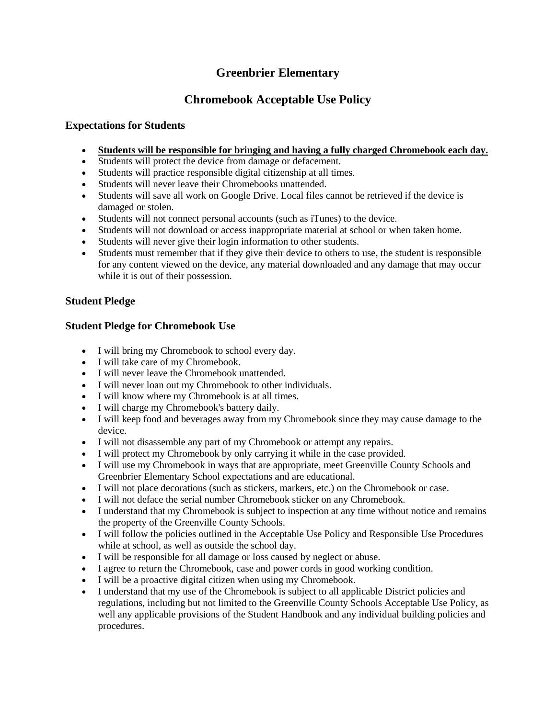## **Greenbrier Elementary**

# **Chromebook Acceptable Use Policy**

### **Expectations for Students**

- **Students will be responsible for bringing and having a fully charged Chromebook each day.**
- Students will protect the device from damage or defacement.
- Students will practice responsible digital citizenship at all times.
- Students will never leave their Chromebooks unattended.
- Students will save all work on Google Drive. Local files cannot be retrieved if the device is damaged or stolen.
- Students will not connect personal accounts (such as iTunes) to the device.
- Students will not download or access inappropriate material at school or when taken home.
- Students will never give their login information to other students.
- Students must remember that if they give their device to others to use, the student is responsible for any content viewed on the device, any material downloaded and any damage that may occur while it is out of their possession.

#### **Student Pledge**

#### **Student Pledge for Chromebook Use**

- I will bring my Chromebook to school every day.
- I will take care of my Chromebook.
- I will never leave the Chromebook unattended.
- I will never loan out my Chromebook to other individuals.
- I will know where my Chromebook is at all times.
- I will charge my Chromebook's battery daily.
- I will keep food and beverages away from my Chromebook since they may cause damage to the device.
- I will not disassemble any part of my Chromebook or attempt any repairs.
- I will protect my Chromebook by only carrying it while in the case provided.
- I will use my Chromebook in ways that are appropriate, meet Greenville County Schools and Greenbrier Elementary School expectations and are educational.
- I will not place decorations (such as stickers, markers, etc.) on the Chromebook or case.
- I will not deface the serial number Chromebook sticker on any Chromebook.
- I understand that my Chromebook is subject to inspection at any time without notice and remains the property of the Greenville County Schools.
- I will follow the policies outlined in the Acceptable Use Policy and Responsible Use Procedures while at school, as well as outside the school day.
- I will be responsible for all damage or loss caused by neglect or abuse.
- I agree to return the Chromebook, case and power cords in good working condition.
- I will be a proactive digital citizen when using my Chromebook.
- I understand that my use of the Chromebook is subject to all applicable District policies and regulations, including but not limited to the Greenville County Schools Acceptable Use Policy, as well any applicable provisions of the Student Handbook and any individual building policies and procedures.